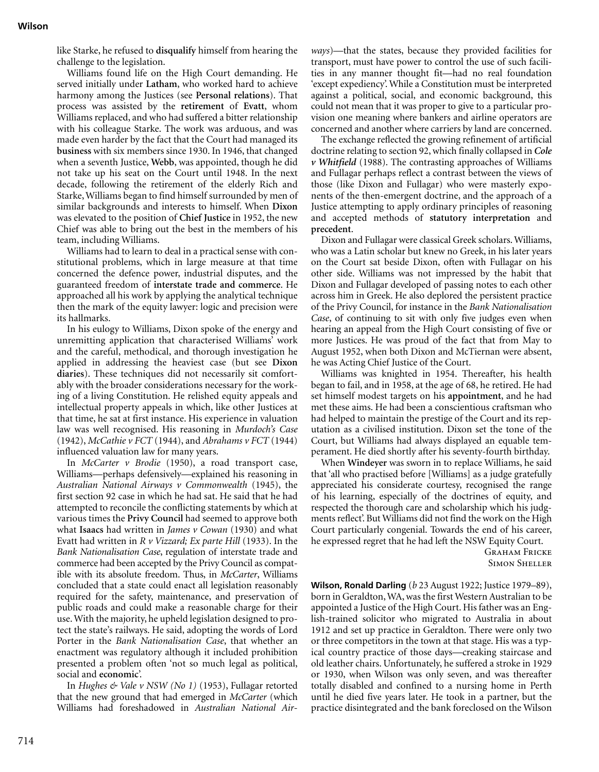like Starke, he refused to **disqualify** himself from hearing the challenge to the legislation.

Williams found life on the High Court demanding. He served initially under **Latham**, who worked hard to achieve harmony among the Justices (see **Personal relations**). That process was assisted by the **retirement** of **Evatt**, whom Williams replaced, and who had suffered a bitter relationship with his colleague Starke. The work was arduous, and was made even harder by the fact that the Court had managed its **business** with six members since 1930. In 1946, that changed when a seventh Justice, **Webb**, was appointed, though he did not take up his seat on the Court until 1948. In the next decade, following the retirement of the elderly Rich and Starke, Williams began to find himself surrounded by men of similar backgrounds and interests to himself. When **Dixon** was elevated to the position of **Chief Justice** in 1952, the new Chief was able to bring out the best in the members of his team, including Williams.

Williams had to learn to deal in a practical sense with constitutional problems, which in large measure at that time concerned the defence power, industrial disputes, and the guaranteed freedom of **interstate trade and commerce**. He approached all his work by applying the analytical technique then the mark of the equity lawyer: logic and precision were its hallmarks.

In his eulogy to Williams, Dixon spoke of the energy and unremitting application that characterised Williams' work and the careful, methodical, and thorough investigation he applied in addressing the heaviest case (but see **Dixon diaries**). These techniques did not necessarily sit comfortably with the broader considerations necessary for the working of a living Constitution. He relished equity appeals and intellectual property appeals in which, like other Justices at that time, he sat at first instance. His experience in valuation law was well recognised. His reasoning in *Murdoch's Case* (1942), *McCathie v FCT* (1944), and *Abrahams v FCT* (1944) influenced valuation law for many years.

In *McCarter v Brodie* (1950), a road transport case, Williams—perhaps defensively—explained his reasoning in *Australian National Airways v Commonwealth* (1945), the first section 92 case in which he had sat. He said that he had attempted to reconcile the conflicting statements by which at various times the **Privy Council** had seemed to approve both what **Isaacs** had written in *James v Cowan* (1930) and what Evatt had written in *R v Vizzard; Ex parte Hill* (1933). In the *Bank Nationalisation Case*, regulation of interstate trade and commerce had been accepted by the Privy Council as compatible with its absolute freedom. Thus, in *McCarter*, Williams concluded that a state could enact all legislation reasonably required for the safety, maintenance, and preservation of public roads and could make a reasonable charge for their use. With the majority, he upheld legislation designed to protect the state's railways. He said, adopting the words of Lord Porter in the *Bank Nationalisation Case*, that whether an enactment was regulatory although it included prohibition presented a problem often 'not so much legal as political, social and **economic**'.

In *Hughes & Vale v NSW (No 1)* (1953), Fullagar retorted that the new ground that had emerged in *McCarter* (which Williams had foreshadowed in *Australian National Air-* *ways*)—that the states, because they provided facilities for transport, must have power to control the use of such facilities in any manner thought fit—had no real foundation 'except expediency'. While a Constitution must be interpreted against a political, social, and economic background, this could not mean that it was proper to give to a particular provision one meaning where bankers and airline operators are concerned and another where carriers by land are concerned.

The exchange reflected the growing refinement of artificial doctrine relating to section 92, which finally collapsed in *Cole v Whitfield* (1988). The contrasting approaches of Williams and Fullagar perhaps reflect a contrast between the views of those (like Dixon and Fullagar) who were masterly exponents of the then-emergent doctrine, and the approach of a Justice attempting to apply ordinary principles of reasoning and accepted methods of **statutory interpretation** and **precedent**.

Dixon and Fullagar were classical Greek scholars. Williams, who was a Latin scholar but knew no Greek, in his later years on the Court sat beside Dixon, often with Fullagar on his other side. Williams was not impressed by the habit that Dixon and Fullagar developed of passing notes to each other across him in Greek. He also deplored the persistent practice of the Privy Council, for instance in the *Bank Nationalisation Case*, of continuing to sit with only five judges even when hearing an appeal from the High Court consisting of five or more Justices. He was proud of the fact that from May to August 1952, when both Dixon and McTiernan were absent, he was Acting Chief Justice of the Court.

Williams was knighted in 1954. Thereafter, his health began to fail, and in 1958, at the age of 68, he retired. He had set himself modest targets on his **appointment**, and he had met these aims. He had been a conscientious craftsman who had helped to maintain the prestige of the Court and its reputation as a civilised institution. Dixon set the tone of the Court, but Williams had always displayed an equable temperament. He died shortly after his seventy-fourth birthday.

When **Windeyer** was sworn in to replace Williams, he said that 'all who practised before [Williams] as a judge gratefully appreciated his considerate courtesy, recognised the range of his learning, especially of the doctrines of equity, and respected the thorough care and scholarship which his judgments reflect'. But Williams did not find the work on the High Court particularly congenial. Towards the end of his career, he expressed regret that he had left the NSW Equity Court.

> Graham Fricke Simon Sheller

**Wilson, Ronald Darling** (*b* 23 August 1922; Justice 1979–89), born in Geraldton, WA, was the first Western Australian to be appointed a Justice of the High Court. His father was an English-trained solicitor who migrated to Australia in about 1912 and set up practice in Geraldton. There were only two or three competitors in the town at that stage. His was a typical country practice of those days—creaking staircase and old leather chairs. Unfortunately, he suffered a stroke in 1929 or 1930, when Wilson was only seven, and was thereafter totally disabled and confined to a nursing home in Perth until he died five years later. He took in a partner, but the practice disintegrated and the bank foreclosed on the Wilson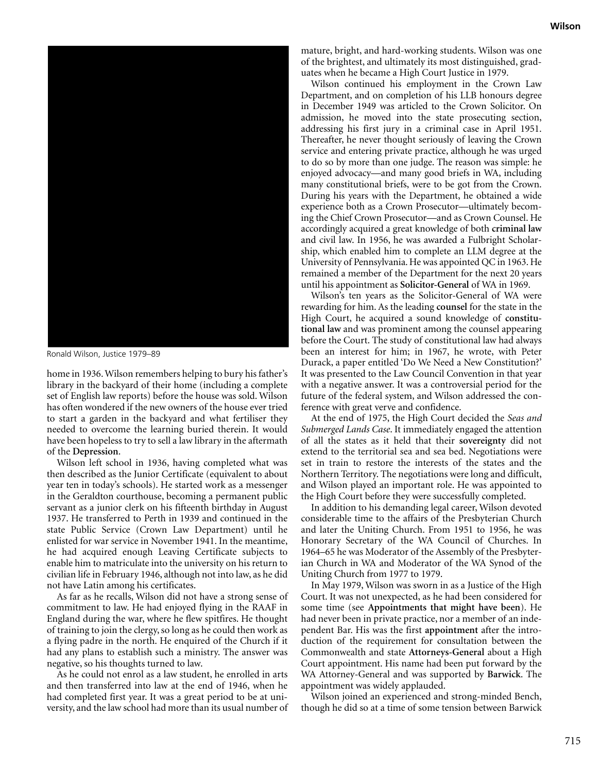

Ronald Wilson, Justice 1979–89

home in 1936. Wilson remembers helping to bury his father's library in the backyard of their home (including a complete set of English law reports) before the house was sold. Wilson has often wondered if the new owners of the house ever tried to start a garden in the backyard and what fertiliser they needed to overcome the learning buried therein. It would have been hopeless to try to sell a law library in the aftermath of the **Depression**.

Wilson left school in 1936, having completed what was then described as the Junior Certificate (equivalent to about year ten in today's schools). He started work as a messenger in the Geraldton courthouse, becoming a permanent public servant as a junior clerk on his fifteenth birthday in August 1937. He transferred to Perth in 1939 and continued in the state Public Service (Crown Law Department) until he enlisted for war service in November 1941. In the meantime, he had acquired enough Leaving Certificate subjects to enable him to matriculate into the university on his return to civilian life in February 1946, although not into law, as he did not have Latin among his certificates.

As far as he recalls, Wilson did not have a strong sense of commitment to law. He had enjoyed flying in the RAAF in England during the war, where he flew spitfires. He thought of training to join the clergy, so long as he could then work as a flying padre in the north. He enquired of the Church if it had any plans to establish such a ministry. The answer was negative, so his thoughts turned to law.

As he could not enrol as a law student, he enrolled in arts and then transferred into law at the end of 1946, when he had completed first year. It was a great period to be at university, and the law school had more than its usual number of mature, bright, and hard-working students. Wilson was one of the brightest, and ultimately its most distinguished, graduates when he became a High Court Justice in 1979.

Wilson continued his employment in the Crown Law Department, and on completion of his LLB honours degree in December 1949 was articled to the Crown Solicitor. On admission, he moved into the state prosecuting section, addressing his first jury in a criminal case in April 1951. Thereafter, he never thought seriously of leaving the Crown service and entering private practice, although he was urged to do so by more than one judge. The reason was simple: he enjoyed advocacy—and many good briefs in WA, including many constitutional briefs, were to be got from the Crown. During his years with the Department, he obtained a wide experience both as a Crown Prosecutor—ultimately becoming the Chief Crown Prosecutor—and as Crown Counsel. He accordingly acquired a great knowledge of both **criminal law** and civil law. In 1956, he was awarded a Fulbright Scholarship, which enabled him to complete an LLM degree at the University of Pennsylvania. He was appointed QC in 1963. He remained a member of the Department for the next 20 years until his appointment as **Solicitor-General** of WA in 1969.

Wilson's ten years as the Solicitor-General of WA were rewarding for him. As the leading **counsel** for the state in the High Court, he acquired a sound knowledge of **constitutional law** and was prominent among the counsel appearing before the Court. The study of constitutional law had always been an interest for him; in 1967, he wrote, with Peter Durack, a paper entitled 'Do We Need a New Constitution?' It was presented to the Law Council Convention in that year with a negative answer. It was a controversial period for the future of the federal system, and Wilson addressed the conference with great verve and confidence.

At the end of 1975, the High Court decided the *Seas and Submerged Lands Case*. It immediately engaged the attention of all the states as it held that their **sovereignty** did not extend to the territorial sea and sea bed. Negotiations were set in train to restore the interests of the states and the Northern Territory. The negotiations were long and difficult, and Wilson played an important role. He was appointed to the High Court before they were successfully completed.

In addition to his demanding legal career, Wilson devoted considerable time to the affairs of the Presbyterian Church and later the Uniting Church. From 1951 to 1956, he was Honorary Secretary of the WA Council of Churches. In 1964–65 he was Moderator of the Assembly of the Presbyterian Church in WA and Moderator of the WA Synod of the Uniting Church from 1977 to 1979.

In May 1979, Wilson was sworn in as a Justice of the High Court. It was not unexpected, as he had been considered for some time (see **Appointments that might have been**). He had never been in private practice, nor a member of an independent Bar. His was the first **appointment** after the introduction of the requirement for consultation between the Commonwealth and state **Attorneys-General** about a High Court appointment. His name had been put forward by the WA Attorney-General and was supported by **Barwick**. The appointment was widely applauded.

Wilson joined an experienced and strong-minded Bench, though he did so at a time of some tension between Barwick